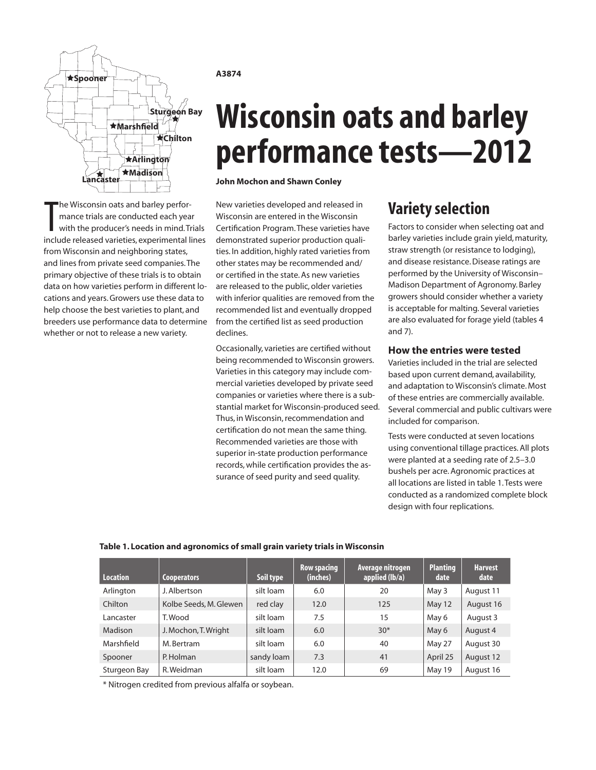

The Wisconsin oats and barley perfor-<br>mance trials are conducted each year<br>with the producer's needs in mind. Trials<br>include released varieties, experimental lines he Wisconsin oats and barley performance trials are conducted each year with the producer's needs in mind. Trials from Wisconsin and neighboring states, and lines from private seed companies. The primary objective of these trials is to obtain data on how varieties perform in different locations and years. Growers use these data to help choose the best varieties to plant, and breeders use performance data to determine whether or not to release a new variety.

### **A3874**

# **Wisconsin oats and barley performance tests—2012**

**John Mochon and Shawn Conley**

New varieties developed and released in Wisconsin are entered in the Wisconsin Certification Program. These varieties have demonstrated superior production qualities. In addition, highly rated varieties from other states may be recommended and/ or certified in the state. As new varieties are released to the public, older varieties with inferior qualities are removed from the recommended list and eventually dropped from the certified list as seed production declines.

Occasionally, varieties are certified without being recommended to Wisconsin growers. Varieties in this category may include commercial varieties developed by private seed companies or varieties where there is a substantial market for Wisconsin-produced seed. Thus, in Wisconsin, recommendation and certification do not mean the same thing. Recommended varieties are those with superior in-state production performance records, while certification provides the assurance of seed purity and seed quality.

# **Variety selection**

Factors to consider when selecting oat and barley varieties include grain yield, maturity, straw strength (or resistance to lodging), and disease resistance. Disease ratings are performed by the University of Wisconsin– Madison Department of Agronomy. Barley growers should consider whether a variety is acceptable for malting. Several varieties are also evaluated for forage yield (tables 4 and 7).

### **How the entries were tested**

Varieties included in the trial are selected based upon current demand, availability, and adaptation to Wisconsin's climate. Most of these entries are commercially available. Several commercial and public cultivars were included for comparison.

Tests were conducted at seven locations using conventional tillage practices. All plots were planted at a seeding rate of 2.5–3.0 bushels per acre. Agronomic practices at all locations are listed in table 1. Tests were conducted as a randomized complete block design with four replications.

| <b>Location</b> | <b>Cooperators</b>     | Soil type  | <b>Row spacing</b><br>(inches) | Average nitrogen<br>applied $(lb/a)$ | <b>Planting</b><br>date | <b>Harvest</b><br>date |
|-----------------|------------------------|------------|--------------------------------|--------------------------------------|-------------------------|------------------------|
| Arlington       | J. Albertson           | silt loam  | 6.0                            | 20                                   | May 3                   | August 11              |
| Chilton         | Kolbe Seeds, M. Glewen | red clay   | 12.0                           | 125                                  | May 12                  | August 16              |
| Lancaster       | T. Wood                | silt loam  | 7.5                            | 15                                   | May 6                   | August 3               |
| Madison         | J. Mochon, T. Wright   | silt loam  | 6.0                            | $30*$                                | May 6                   | August 4               |
| Marshfield      | M. Bertram             | silt loam  | 6.0                            | 40                                   | May 27                  | August 30              |
| Spooner         | P. Holman              | sandy loam | 7.3                            | 41                                   | April 25                | August 12              |
| Sturgeon Bay    | R. Weidman             | silt loam  | 12.0                           | 69                                   | May 19                  | August 16              |

### **Table 1. Location and agronomics of small grain variety trials in Wisconsin**

\* Nitrogen credited from previous alfalfa or soybean.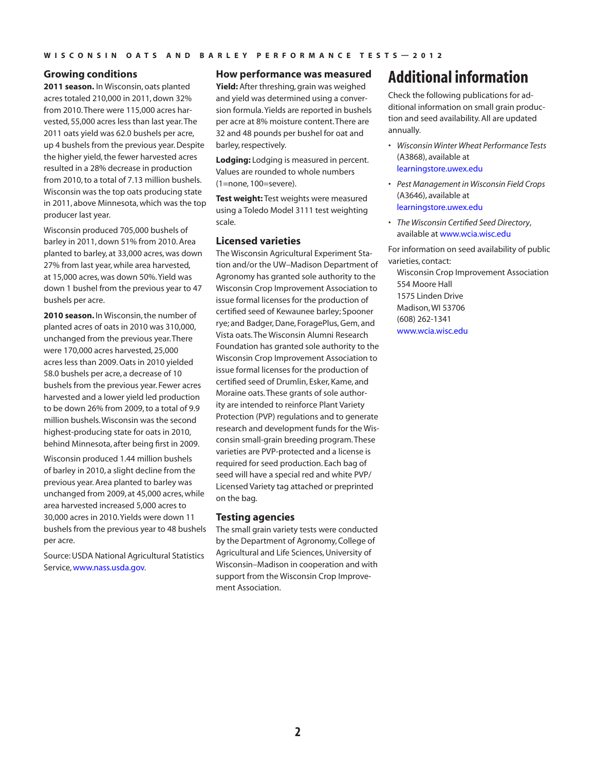### **Growing conditions**

**2011 season.** In Wisconsin, oats planted acres totaled 210,000 in 2011, down 32% from 2010. There were 115,000 acres harvested, 55,000 acres less than last year. The 2011 oats yield was 62.0 bushels per acre, up 4 bushels from the previous year. Despite the higher yield, the fewer harvested acres resulted in a 28% decrease in production from 2010, to a total of 7.13 million bushels. Wisconsin was the top oats producing state in 2011, above Minnesota, which was the top producer last year.

Wisconsin produced 705,000 bushels of barley in 2011, down 51% from 2010. Area planted to barley, at 33,000 acres, was down 27% from last year, while area harvested, at 15,000 acres, was down 50%. Yield was down 1 bushel from the previous year to 47 bushels per acre.

**2010 season.** In Wisconsin, the number of planted acres of oats in 2010 was 310,000, unchanged from the previous year. There were 170,000 acres harvested, 25,000 acres less than 2009. Oats in 2010 yielded 58.0 bushels per acre, a decrease of 10 bushels from the previous year. Fewer acres harvested and a lower yield led production to be down 26% from 2009, to a total of 9.9 million bushels. Wisconsin was the second highest-producing state for oats in 2010, behind Minnesota, after being first in 2009.

Wisconsin produced 1.44 million bushels of barley in 2010, a slight decline from the previous year. Area planted to barley was unchanged from 2009, at 45,000 acres, while area harvested increased 5,000 acres to 30,000 acres in 2010. Yields were down 11 bushels from the previous year to 48 bushels per acre.

Source: USDA National Agricultural Statistics Service, [www.nass.usda.gov](http://www.nass.usda.gov).

### **How performance was measured**

**Yield:** After threshing, grain was weighed and yield was determined using a conversion formula. Yields are reported in bushels per acre at 8% moisture content. There are 32 and 48 pounds per bushel for oat and barley, respectively.

**Lodging:** Lodging is measured in percent. Values are rounded to whole numbers (1=none, 100=severe).

**Test weight:** Test weights were measured using a Toledo Model 3111 test weighting scale.

### **Licensed varieties**

The Wisconsin Agricultural Experiment Station and/or the UW–Madison Department of Agronomy has granted sole authority to the Wisconsin Crop Improvement Association to issue formal licenses for the production of certified seed of Kewaunee barley; Spooner rye; and Badger, Dane, ForagePlus, Gem, and Vista oats. The Wisconsin Alumni Research Foundation has granted sole authority to the Wisconsin Crop Improvement Association to issue formal licenses for the production of certified seed of Drumlin, Esker, Kame, and Moraine oats. These grants of sole authority are intended to reinforce Plant Variety Protection (PVP) regulations and to generate research and development funds for the Wisconsin small-grain breeding program. These varieties are PVP-protected and a license is required for seed production. Each bag of seed will have a special red and white PVP/ Licensed Variety tag attached or preprinted on the bag.

### **Testing agencies**

The small grain variety tests were conducted by the Department of Agronomy, College of Agricultural and Life Sciences, University of Wisconsin–Madison in cooperation and with support from the Wisconsin Crop Improvement Association.

# **Additional information**

Check the following publications for additional information on small grain production and seed availability. All are updated annually.

- *• Wisconsin Winter Wheat Performance Tests* (A3868), available at [learningstore.uwex.edu](http://learningstore.uwex.edu)
- *• Pest Management in Wisconsin Field Crops* (A3646), available at [learningstore.uwex.edu](http://learningstore.uwex.edu)
- *• The Wisconsin Certified Seed Directory*, available at www.wcia.wisc.edu

For information on seed availability of public varieties, contact:

Wisconsin Crop Improvement Association 554 Moore Hall 1575 Linden Drive Madison, WI 53706 (608) 262-1341 [www.wcia.wisc.edu](http://www.wcia.wisc.edu)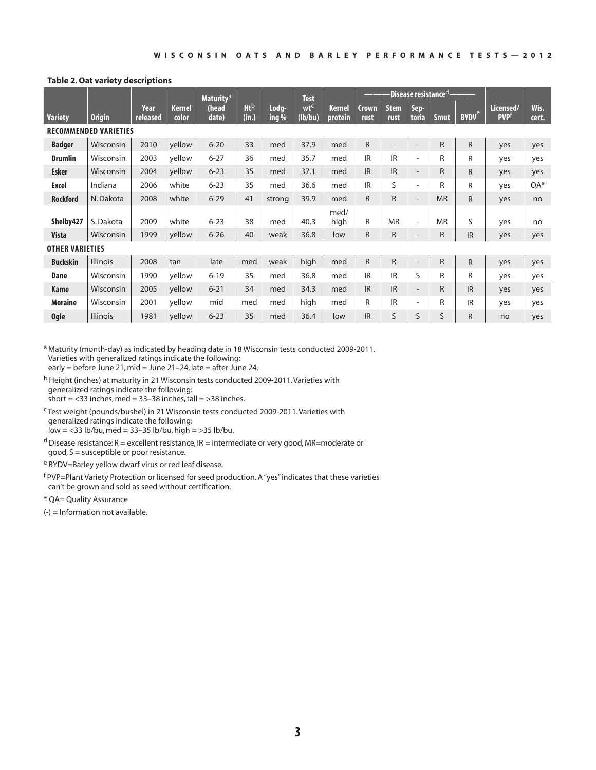### **Table 2. Oat variety descriptions**

|                        |                              |                  |                 | <b>Maturity<sup>a</sup></b> |                                 |                  | <b>Test</b>                |                          | -Disease resistance <sup>d</sup> - |                     |                          |              |                         |                                      |               |
|------------------------|------------------------------|------------------|-----------------|-----------------------------|---------------------------------|------------------|----------------------------|--------------------------|------------------------------------|---------------------|--------------------------|--------------|-------------------------|--------------------------------------|---------------|
| <b>Variety</b>         | <b>Origin</b>                | Year<br>released | Kernel<br>color | (head<br>date)              | <b>Ht</b> <sub>b</sub><br>(in.) | Loda-<br>ing $%$ | wt <sup>c</sup><br>(lb/bu) | <b>Kernel</b><br>protein | <b>Crown</b><br>rust               | <b>Stem</b><br>rust | Sep-<br>toria            | <b>Smut</b>  | <b>BYDV<sup>e</sup></b> | Licensed/<br><b>PVP</b> <sup>t</sup> | Wis.<br>cert. |
|                        | <b>RECOMMENDED VARIETIES</b> |                  |                 |                             |                                 |                  |                            |                          |                                    |                     |                          |              |                         |                                      |               |
| <b>Badger</b>          | Wisconsin                    | 2010             | vellow          | $6 - 20$                    | 33                              | med              | 37.9                       | med                      | $\mathsf{R}$                       | $\qquad \qquad$     | $\qquad \qquad$          | $\mathsf{R}$ | R                       | yes                                  | yes           |
| <b>Drumlin</b>         | Wisconsin                    | 2003             | yellow          | $6 - 27$                    | 36                              | med              | 35.7                       | med                      | <b>IR</b>                          | <b>IR</b>           | $\overline{\phantom{a}}$ | R            | R                       | yes                                  | yes           |
| <b>Esker</b>           | Wisconsin                    | 2004             | yellow          | $6 - 23$                    | 35                              | med              | 37.1                       | med                      | <b>IR</b>                          | <b>IR</b>           | $\overline{\phantom{a}}$ | R            | R                       | yes                                  | yes           |
| <b>Excel</b>           | Indiana                      | 2006             | white           | $6 - 23$                    | 35                              | med              | 36.6                       | med                      | IR                                 | $\mathsf{S}$        | $\overline{\phantom{a}}$ | R            | R                       | yes                                  | $QA*$         |
| <b>Rockford</b>        | N. Dakota                    | 2008             | white           | $6 - 29$                    | 41                              | strong           | 39.9                       | med                      | $\mathsf{R}$                       | $\mathsf{R}$        | $\overline{\phantom{a}}$ | <b>MR</b>    | R                       | yes                                  | no            |
| Shelby427              | S. Dakota                    | 2009             | white           | $6 - 23$                    | 38                              | med              | 40.3                       | med/<br>high             | R                                  | <b>MR</b>           | $\overline{\phantom{a}}$ | <b>MR</b>    | S                       | yes                                  | no            |
| <b>Vista</b>           | Wisconsin                    | 1999             | yellow          | $6 - 26$                    | 40                              | weak             | 36.8                       | low                      | $\mathsf{R}$                       | $\overline{R}$      |                          | $\mathsf{R}$ | <b>IR</b>               | yes                                  | yes           |
| <b>OTHER VARIETIES</b> |                              |                  |                 |                             |                                 |                  |                            |                          |                                    |                     |                          |              |                         |                                      |               |
| <b>Buckskin</b>        | <b>Illinois</b>              | 2008             | tan             | late                        | med                             | weak             | high                       | med                      | $\mathsf{R}$                       | $\mathsf{R}$        | $\overline{\phantom{a}}$ | R            | R.                      | yes                                  | yes           |
| Dane                   | Wisconsin                    | 1990             | yellow          | $6 - 19$                    | 35                              | med              | 36.8                       | med                      | <b>IR</b>                          | <b>IR</b>           | S                        | R            | R                       | yes                                  | yes           |
| Kame                   | Wisconsin                    | 2005             | yellow          | $6 - 21$                    | 34                              | med              | 34.3                       | med                      | <b>IR</b>                          | <b>IR</b>           | $\overline{\phantom{a}}$ | R            | <b>IR</b>               | yes                                  | yes           |
| <b>Moraine</b>         | Wisconsin                    | 2001             | yellow          | mid                         | med                             | med              | high                       | med                      | $\mathsf{R}$                       | <b>IR</b>           | $\overline{\phantom{a}}$ | R            | <b>IR</b>               | yes                                  | yes           |
| <b>Ogle</b>            | <b>Illinois</b>              | 1981             | yellow          | $6 - 23$                    | 35                              | med              | 36.4                       | low                      | <b>IR</b>                          | S                   | S                        | S            | R                       | no                                   | yes           |

a Maturity (month-day) as indicated by heading date in 18 Wisconsin tests conducted 2009-2011. Varieties with generalized ratings indicate the following: early = before June 21, mid = June 21-24, late = after June 24.

- b Height (inches) at maturity in 21 Wisconsin tests conducted 2009-2011. Varieties with generalized ratings indicate the following: short =  $<$ 33 inches, med = 33-38 inches, tall =  $>$ 38 inches.
- c Test weight (pounds/bushel) in 21 Wisconsin tests conducted 2009-2011. Varieties with generalized ratings indicate the following:

 $low = <33$  lb/bu, med = 33-35 lb/bu, high = >35 lb/bu.

- $d$  Disease resistance: R = excellent resistance, IR = intermediate or very good, MR=moderate or good, S = susceptible or poor resistance.
- e BYDV=Barley yellow dwarf virus or red leaf disease.

f PVP=Plant Variety Protection or licensed for seed production. A "yes" indicates that these varieties can't be grown and sold as seed without certification.

\* QA= Quality Assurance

(-) = Information not available.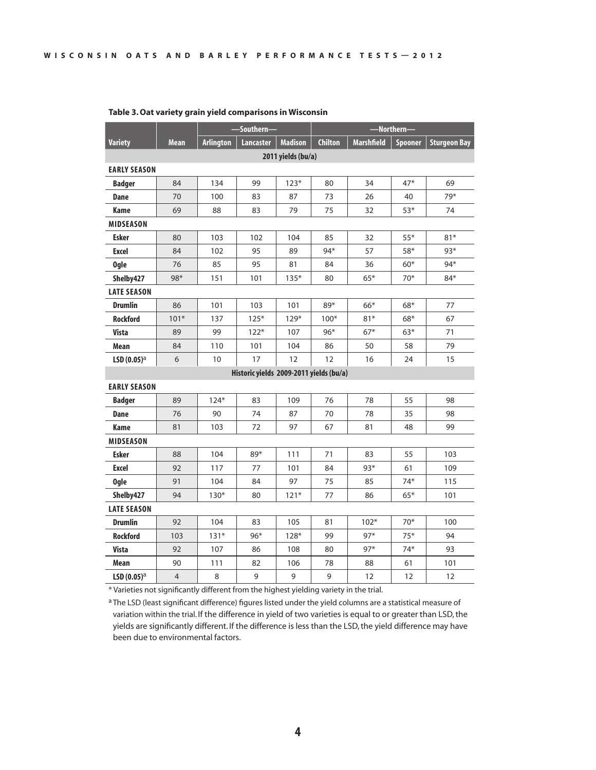|                     |                |                  | -Southern                               |                    | -Northern-     |                   |         |                     |  |  |  |  |  |
|---------------------|----------------|------------------|-----------------------------------------|--------------------|----------------|-------------------|---------|---------------------|--|--|--|--|--|
| <b>Variety</b>      | Mean           | <b>Arlington</b> | <b>Lancaster</b>                        | <b>Madison</b>     | <b>Chilton</b> | <b>Marshfield</b> | Spooner | <b>Sturgeon Bay</b> |  |  |  |  |  |
|                     |                |                  |                                         | 2011 yields (bu/a) |                |                   |         |                     |  |  |  |  |  |
| <b>EARLY SEASON</b> |                |                  |                                         |                    |                |                   |         |                     |  |  |  |  |  |
| <b>Badger</b>       | 84             | 134              | 99                                      | $123*$             | 80             | 34                | $47*$   | 69                  |  |  |  |  |  |
| <b>Dane</b>         | 70             | 100              | 83                                      | 87                 | 73             | 26                | 40      | 79*                 |  |  |  |  |  |
| Kame                | 69             | 88               | 83                                      | 79                 | 75             | 32                | $53*$   | 74                  |  |  |  |  |  |
| <b>MIDSEASON</b>    |                |                  |                                         |                    |                |                   |         |                     |  |  |  |  |  |
| <b>Esker</b>        | 80             | 103              | 102                                     | 104                | 85             | 32                | $55*$   | $81*$               |  |  |  |  |  |
| <b>Excel</b>        | 84             | 102              | 95                                      | 89                 | 94*            | 57                | $58*$   | $93*$               |  |  |  |  |  |
| <b>Ogle</b>         | 76             | 85               | 95                                      | 81                 | 84             | 36                | $60*$   | $94*$               |  |  |  |  |  |
| Shelby427           | $98*$          | 151              | 101                                     | $135*$             | 80             | $65*$             | $70*$   | $84*$               |  |  |  |  |  |
| <b>LATE SEASON</b>  |                |                  |                                         |                    |                |                   |         |                     |  |  |  |  |  |
| <b>Drumlin</b>      | 86             | 101              | 103                                     | 101                | 89*            | $66*$             | $68*$   | 77                  |  |  |  |  |  |
| <b>Rockford</b>     | $101*$         | 137              | $125*$                                  | $129*$             | $100*$         | $81*$             | $68*$   | 67                  |  |  |  |  |  |
| <b>Vista</b>        | 89             | 99               | $122*$                                  | 107                | $96*$          | $67*$             | $63*$   | 71                  |  |  |  |  |  |
| <b>Mean</b>         | 84             | 110              | 101                                     | 104                | 86             | 50                | 58      | 79                  |  |  |  |  |  |
| $LSD(0.05)^{a}$     | 6              | 10               | 17                                      | 12                 | 12             | 16                | 24      | 15                  |  |  |  |  |  |
|                     |                |                  | Historic yields 2009-2011 yields (bu/a) |                    |                |                   |         |                     |  |  |  |  |  |
| <b>EARLY SEASON</b> |                |                  |                                         |                    |                |                   |         |                     |  |  |  |  |  |
| <b>Badger</b>       | 89             | $124*$           | 83                                      | 109                | 76             | 78                | 55      | 98                  |  |  |  |  |  |
| <b>Dane</b>         | 76             | 90               | 74                                      | 87                 | 70             | 78                | 35      | 98                  |  |  |  |  |  |
| Kame                | 81             | 103              | 72                                      | 97                 | 67             | 81                | 48      | 99                  |  |  |  |  |  |
| <b>MIDSEASON</b>    |                |                  |                                         |                    |                |                   |         |                     |  |  |  |  |  |
| <b>Esker</b>        | 88             | 104              | 89*                                     | 111                | 71             | 83                | 55      | 103                 |  |  |  |  |  |
| <b>Excel</b>        | 92             | 117              | 77                                      | 101                | 84             | $93*$             | 61      | 109                 |  |  |  |  |  |
| <b>Ogle</b>         | 91             | 104              | 84                                      | 97                 | 75             | 85                | $74*$   | 115                 |  |  |  |  |  |
| Shelby427           | 94             | $130*$           | 80                                      | $121*$             | 77             | 86                | $65*$   | 101                 |  |  |  |  |  |
| <b>LATE SEASON</b>  |                |                  |                                         |                    |                |                   |         |                     |  |  |  |  |  |
| <b>Drumlin</b>      | 92             | 104              | 83                                      | 105                | 81             | $102*$            | $70*$   | 100                 |  |  |  |  |  |
| <b>Rockford</b>     | 103            | $131*$           | $96*$                                   | $128*$             | 99             | $97*$             | $75*$   | 94                  |  |  |  |  |  |
| <b>Vista</b>        | 92             | 107              | 86                                      | 108                | 80             | $97*$             | $74*$   | 93                  |  |  |  |  |  |
| Mean                | 90             | 111              | 82                                      | 106                | 78             | 88                | 61      | 101                 |  |  |  |  |  |
| LSD $(0.05)^a$      | $\overline{4}$ | 8                | 9                                       | 9                  | 9              | 12                | 12      | 12                  |  |  |  |  |  |

### **Table 3. Oat variety grain yield comparisons in Wisconsin**

\* Varieties not significantly different from the highest yielding variety in the trial.

a The LSD (least significant difference) figures listed under the yield columns are a statistical measure of variation within the trial. If the difference in yield of two varieties is equal to or greater than LSD, the yields are significantly different. If the difference is less than the LSD, the yield difference may have been due to environmental factors.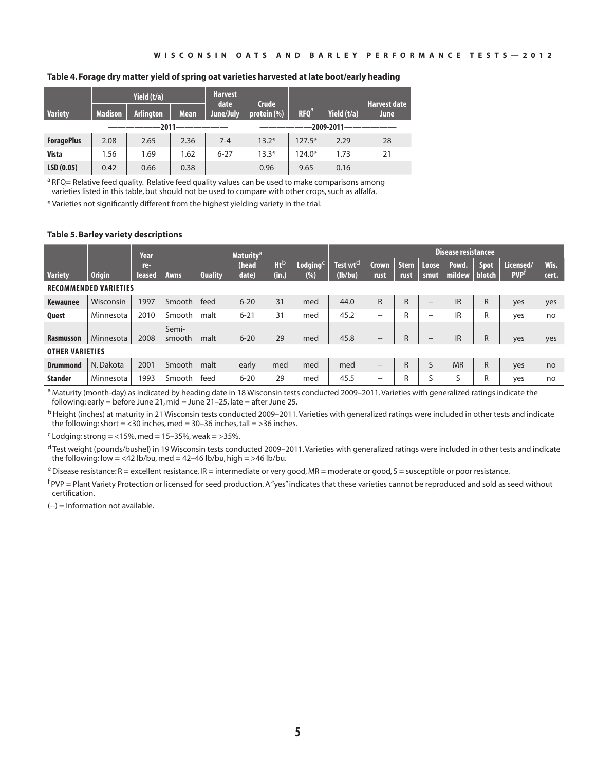### **Table 4. Forage dry matter yield of spring oat varieties harvested at late boot/early heading**

|                   |                | Yield $(t/a)$    |             | <b>Harvest</b><br>date | <b>Crude</b> |                  |               | <b>Harvest date</b> |
|-------------------|----------------|------------------|-------------|------------------------|--------------|------------------|---------------|---------------------|
| <b>Variety</b>    | <b>Madison</b> | <b>Arlington</b> | <b>Mean</b> | June/July              | protein (%)  | RFO <sup>a</sup> | Yield $(t/a)$ | <b>June</b>         |
|                   |                |                  |             |                        |              |                  | 2009-2011     |                     |
| <b>ForagePlus</b> | 2.08           | 2.65             | 2.36        | $7 - 4$                | $13.2*$      | $127.5*$         | 2.29          | 28                  |
| <b>Vista</b>      | 1.56           | 1.69             | 1.62        | $6 - 27$               | $13.3*$      | $124.0*$         | 1.73          | 21                  |
| LSD(0.05)         | 0.42           | 0.66             | 0.38        |                        | 0.96         | 9.65             | 0.16          |                     |

a RFQ= Relative feed quality. Relative feed quality values can be used to make comparisons among varieties listed in this table, but should not be used to compare with other crops, such as alfalfa.

\* Varieties not significantly different from the highest yielding variety in the trial.

### **Table 5. Barley variety descriptions**

|                              |               | Year          |                 |                | <b>Maturity<sup>a</sup></b> |                 |                          |                                 | <b>Disease resistancee</b> |                     |                   |                 |                       |                         |               |
|------------------------------|---------------|---------------|-----------------|----------------|-----------------------------|-----------------|--------------------------|---------------------------------|----------------------------|---------------------|-------------------|-----------------|-----------------------|-------------------------|---------------|
| <b>Variety</b>               | <b>Origin</b> | re-<br>leased | Awns            | <b>Quality</b> | (head<br>date)              | $Ht^b$<br>(in.) | $L$ odging $C$<br>$(\%)$ | Test wt <sup>d</sup><br>(lb/bu) | <b>Crown</b><br>rust       | <b>Stem</b><br>rust | Loose<br>smut     | Powd.<br>mildew | <b>Spot</b><br>blotch | Licensed/<br><b>PVP</b> | Wis.<br>cert. |
| <b>RECOMMENDED VARIETIES</b> |               |               |                 |                |                             |                 |                          |                                 |                            |                     |                   |                 |                       |                         |               |
| <b>Kewaunee</b>              | Wisconsin     | 1997          | Smooth          | feed           | $6 - 20$                    | 31              | med                      | 44.0                            | $\mathsf{R}$               | R                   | $\qquad \qquad -$ | <b>IR</b>       | R                     | yes                     | yes           |
| <b>Quest</b>                 | Minnesota     | 2010          | Smooth          | malt           | $6 - 21$                    | 31              | med                      | 45.2                            | $\qquad \qquad -$          | R                   | $- -$             | IR              | R                     | yes                     | no            |
| <b>Rasmusson</b>             | Minnesota     | 2008          | Semi-<br>smooth | malt           | $6 - 20$                    | 29              | med                      | 45.8                            | $\qquad \qquad -$          | R.                  | $- -$             | <b>IR</b>       | R                     | yes                     | yes           |
| <b>OTHER VARIETIES</b>       |               |               |                 |                |                             |                 |                          |                                 |                            |                     |                   |                 |                       |                         |               |
| <b>Drummond</b>              | N. Dakota     | 2001          | Smooth          | malt           | early                       | med             | med                      | med                             | $\qquad \qquad -$          | R                   | S                 | <b>MR</b>       | R                     | yes                     | no            |
| <b>Stander</b>               | Minnesota     | 1993          | Smooth          | feed           | $6 - 20$                    | 29              | med                      | 45.5                            | $- -$                      | R                   | S                 | S               | R                     | yes                     | no            |

a Maturity (month-day) as indicated by heading date in 18 Wisconsin tests conducted 2009–2011. Varieties with generalized ratings indicate the following: early = before June 21, mid = June 21–25, late = after June 25.

<sup>b</sup> Height (inches) at maturity in 21 Wisconsin tests conducted 2009–2011. Varieties with generalized ratings were included in other tests and indicate the following: short =  $<$ 30 inches, med = 30–36 inches, tall = >36 inches.

 $c$  Lodging: strong = <15%, med = 15-35%, weak = >35%.

<sup>d</sup> Test weight (pounds/bushel) in 19 Wisconsin tests conducted 2009–2011. Varieties with generalized ratings were included in other tests and indicate the following: low = <42 lb/bu, med = 42-46 lb/bu, high = >46 lb/bu.

 $e$  Disease resistance: R = excellent resistance, IR = intermediate or very good, MR = moderate or good, S = susceptible or poor resistance.

 $f$ PVP = Plant Variety Protection or licensed for seed production. A "yes" indicates that these varieties cannot be reproduced and sold as seed without certification.

(--) = Information not available.